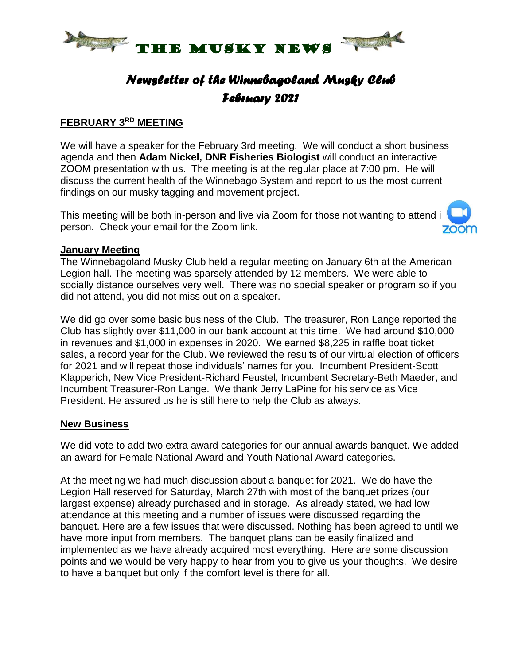

# *Newsletter of the Winnebagoland Musky Club February 2021*

#### **FEBRUARY 3 RD MEETING**

We will have a speaker for the February 3rd meeting. We will conduct a short business agenda and then **Adam Nickel, DNR Fisheries Biologist** will conduct an interactive ZOOM presentation with us. The meeting is at the regular place at 7:00 pm. He will discuss the current health of the Winnebago System and report to us the most current findings on our musky tagging and movement project.

This meeting will be both in-person and live via Zoom for those not wanting to attend i person. Check your email for the Zoom link.



#### **January Meeting**

The Winnebagoland Musky Club held a regular meeting on January 6th at the American Legion hall. The meeting was sparsely attended by 12 members. We were able to socially distance ourselves very well. There was no special speaker or program so if you did not attend, you did not miss out on a speaker.

We did go over some basic business of the Club. The treasurer, Ron Lange reported the Club has slightly over \$11,000 in our bank account at this time. We had around \$10,000 in revenues and \$1,000 in expenses in 2020. We earned \$8,225 in raffle boat ticket sales, a record year for the Club. We reviewed the results of our virtual election of officers for 2021 and will repeat those individuals' names for you. Incumbent President-Scott Klapperich, New Vice President-Richard Feustel, Incumbent Secretary-Beth Maeder, and Incumbent Treasurer-Ron Lange. We thank Jerry LaPine for his service as Vice President. He assured us he is still here to help the Club as always.

#### **New Business**

We did vote to add two extra award categories for our annual awards banquet. We added an award for Female National Award and Youth National Award categories.

At the meeting we had much discussion about a banquet for 2021. We do have the Legion Hall reserved for Saturday, March 27th with most of the banquet prizes (our largest expense) already purchased and in storage. As already stated, we had low attendance at this meeting and a number of issues were discussed regarding the banquet. Here are a few issues that were discussed. Nothing has been agreed to until we have more input from members. The banquet plans can be easily finalized and implemented as we have already acquired most everything. Here are some discussion points and we would be very happy to hear from you to give us your thoughts. We desire to have a banquet but only if the comfort level is there for all.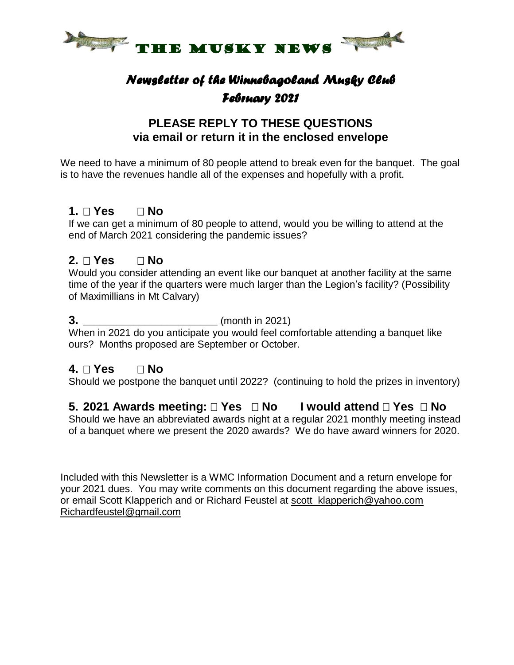

# *Newsletter of the Winnebagoland Musky Club February 2021*

### **PLEASE REPLY TO THESE QUESTIONS via email or return it in the enclosed envelope**

We need to have a minimum of 80 people attend to break even for the banquet. The goal is to have the revenues handle all of the expenses and hopefully with a profit.

### **1. Yes No**

If we can get a minimum of 80 people to attend, would you be willing to attend at the end of March 2021 considering the pandemic issues?

### **2. Yes No**

Would you consider attending an event like our banquet at another facility at the same time of the year if the quarters were much larger than the Legion's facility? (Possibility of Maximillians in Mt Calvary)

#### **3. \_\_\_\_\_\_\_\_\_\_\_\_\_\_\_\_\_\_\_\_\_\_\_\_** (month in 2021)

When in 2021 do you anticipate you would feel comfortable attending a banquet like ours? Months proposed are September or October.

### **4. Yes No**

Should we postpone the banquet until 2022? (continuing to hold the prizes in inventory)

### **5. 2021 Awards meeting: Yes No I would attend Yes No**

Should we have an abbreviated awards night at a regular 2021 monthly meeting instead of a banquet where we present the 2020 awards? We do have award winners for 2020.

Included with this Newsletter is a WMC Information Document and a return envelope for your 2021 dues. You may write comments on this document regarding the above issues, or email Scott Klapperich and or Richard Feustel at scott klapperich@yahoo.com [Richardfeustel@gmail.com](mailto:Richardfeustel@gmail.com)